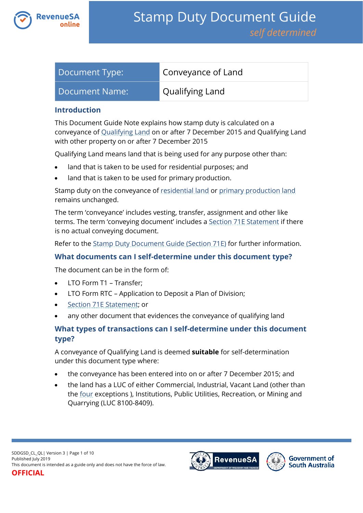

| Document Type: | Conveyance of Land     |
|----------------|------------------------|
| Document Name: | <b>Qualifying Land</b> |

#### **Introduction**

This Document Guide Note explains how stamp duty is calculated on a conveyance of [Qualifying Land](https://www.revenuesa.sa.gov.au/stampduty/stamp-duty-document-guide#Qualifying) on or after 7 December 2015 and Qualifying Land with other property on or after 7 December 2015

Qualifying Land means land that is being used for any purpose other than:

- land that is taken to be used for residential purposes; and
- land that is taken to be used for primary production.

Stamp duty on the conveyance of [residential land](https://www.revenuesa.sa.gov.au/stampduty/stamp-duty-document-guide#RR&PP) or [primary production land](https://www.revenuesa.sa.gov.au/stampduty/stamp-duty-document-guide#RR&PP) remains unchanged.

The term 'conveyance' includes vesting, transfer, assignment and other like terms. The term 'conveying document' includes [a Section 71E Statement](https://www.revenuesa.sa.gov.au/forms-and-publications/documents/forms/71estatement.pdf) if there is no actual conveying document.

Refer to the [Stamp Duty Document Guide \(Section 71E\)](https://www.revenuesa.sa.gov.au/stampduty/stamp-duty-document-guide/section71e) for further information.

## **What documents can I self-determine under this document type?**

The document can be in the form of:

- LTO Form T1 Transfer;
- LTO Form RTC Application to Deposit a Plan of Division;
- [Section 71E Statement;](https://www.revenuesa.sa.gov.au/forms-and-publications/documents/forms/71estatement.pdf) or
- any other document that evidences the conveyance of qualifying land

# **What types of transactions can I self-determine under this document type?**

A conveyance of Qualifying Land is deemed **suitable** for self-determination under this document type where:

- the conveyance has been entered into on or after 7 December 2015; and
- the land has a LUC of either Commercial, Industrial, Vacant Land (other than the [four](file://///treas.sa.gov.au/data/RevSA/BusData/TaxationServices/TaxationCompetency/CompDevUnit/_Taxpayer%20Engagement,%20Education%20&%20Communication/Publications/Document%20Guides/SD%20Document%20Guide/DRAFTS_Changes%20from%201%20July%2019/Ready%20for%20publication/SDDGSD_CL_QL.docx%23Exception) exceptions ), Institutions, Public Utilities, Recreation, or Mining and Quarrying (LUC 8100-8409).

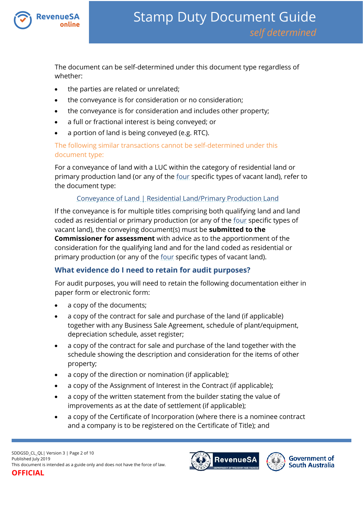

The document can be self-determined under this document type regardless of whether:

- the parties are related or unrelated;
- the conveyance is for consideration or no consideration;
- the conveyance is for consideration and includes other property;
- a full or fractional interest is being conveyed; or
- a portion of land is being conveyed (e.g. RTC).

## The following similar transactions cannot be self-determined under this document type:

For a conveyance of land with a LUC within the category of residential land or primary production land (or any of the [four](https://www.revenuesa.sa.gov.au/stampduty/real-property-land#NotQualifyingLand) specific types of vacant land), refer to the document type:

# [Conveyance of Land | Residential Land/Primary Production Land](https://www.revenuesa.sa.gov.au/stampduty/stamp-duty-document-guide/self-determined/conveyance-of-land/sddgsd_cl_rpp)

If the conveyance is for multiple titles comprising both qualifying land and land coded as residential or primary production (or any of the [four](https://www.revenuesa.sa.gov.au/stampduty/real-property-land#NotQualifyingLand) specific types of vacant land), the conveying document(s) must be **submitted to the Commissioner for assessment** with advice as to the apportionment of the consideration for the qualifying land and for the land coded as residential or primary production (or any of the [four](https://www.revenuesa.sa.gov.au/stampduty/real-property-land#NotQualifyingLand) specific types of vacant land).

# **What evidence do I need to retain for audit purposes?**

For audit purposes, you will need to retain the following documentation either in paper form or electronic form:

- a copy of the documents;
- a copy of the contract for sale and purchase of the land (if applicable) together with any Business Sale Agreement, schedule of plant/equipment, depreciation schedule, asset register;
- a copy of the contract for sale and purchase of the land together with the schedule showing the description and consideration for the items of other property;
- a copy of the direction or nomination (if applicable);
- a copy of the Assignment of Interest in the Contract (if applicable);
- a copy of the written statement from the builder stating the value of improvements as at the date of settlement (if applicable);
- a copy of the Certificate of Incorporation (where there is a nominee contract and a company is to be registered on the Certificate of Title); and



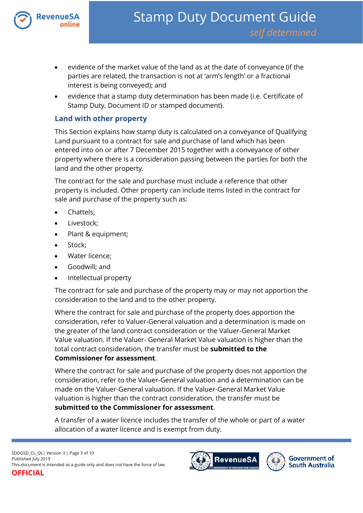

- evidence of the market value of the land as at the date of conveyance (if the parties are related, the transaction is not at 'arm's length' or a fractional interest is being conveyed); and
- evidence that a stamp duty determination has been made (i.e. Certificate of Stamp Duty, Document ID or stamped document).

## **Land with other property**

This Section explains how stamp duty is calculated on a conveyance of Qualifying Land pursuant to a contract for sale and purchase of land which has been entered into on or after 7 December 2015 together with a conveyance of other property where there is a consideration passing between the parties for both the land and the other property.

The contract for the sale and purchase must include a reference that other property is included. Other property can include items listed in the contract for sale and purchase of the property such as:

- Chattels;
- Livestock;
- Plant & equipment;
- Stock;
- Water licence;
- Goodwill; and
- Intellectual property

The contract for sale and purchase of the property may or may not apportion the consideration to the land and to the other property.

Where the contract for sale and purchase of the property does apportion the consideration, refer to Valuer-General valuation and a determination is made on the greater of the land contract consideration or the Valuer-General Market Value valuation. If the Valuer- General Market Value valuation is higher than the total contract consideration, the transfer must be **submitted to the Commissioner for assessment**.

Where the contract for sale and purchase of the property does not apportion the consideration, refer to the Valuer-General valuation and a determination can be made on the Valuer-General valuation. If the Valuer-General Market Value valuation is higher than the contract consideration, the transfer must be **submitted to the Commissioner for assessment**.

A transfer of a water licence includes the transfer of the whole or part of a water allocation of a water licence and is exempt from duty.

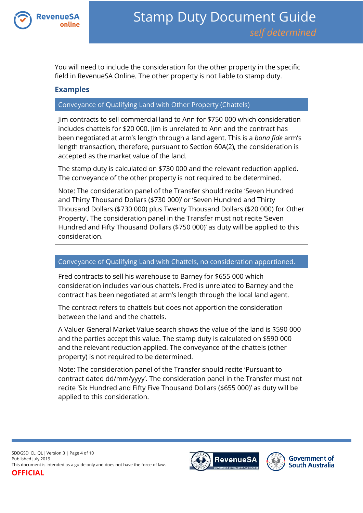

You will need to include the consideration for the other property in the specific field in RevenueSA Online. The other property is not liable to stamp duty.

# **Examples**

## Conveyance of Qualifying Land with Other Property (Chattels)

Jim contracts to sell commercial land to Ann for \$750 000 which consideration includes chattels for \$20 000. Jim is unrelated to Ann and the contract has been negotiated at arm's length through a land agent. This is a *bona fide* arm's length transaction, therefore, pursuant to Section 60A(2), the consideration is accepted as the market value of the land.

The stamp duty is calculated on \$730 000 and the relevant reduction applied. The conveyance of the other property is not required to be determined.

Note: The consideration panel of the Transfer should recite 'Seven Hundred and Thirty Thousand Dollars (\$730 000)' or 'Seven Hundred and Thirty Thousand Dollars (\$730 000) plus Twenty Thousand Dollars (\$20 000) for Other Property'. The consideration panel in the Transfer must not recite 'Seven Hundred and Fifty Thousand Dollars (\$750 000)' as duty will be applied to this consideration.

#### Conveyance of Qualifying Land with Chattels, no consideration apportioned.

Fred contracts to sell his warehouse to Barney for \$655 000 which consideration includes various chattels. Fred is unrelated to Barney and the contract has been negotiated at arm's length through the local land agent.

The contract refers to chattels but does not apportion the consideration between the land and the chattels.

A Valuer-General Market Value search shows the value of the land is \$590 000 and the parties accept this value. The stamp duty is calculated on \$590 000 and the relevant reduction applied. The conveyance of the chattels (other property) is not required to be determined.

Note: The consideration panel of the Transfer should recite 'Pursuant to contract dated dd/mm/yyyy'. The consideration panel in the Transfer must not recite 'Six Hundred and Fifty Five Thousand Dollars (\$655 000)' as duty will be applied to this consideration.

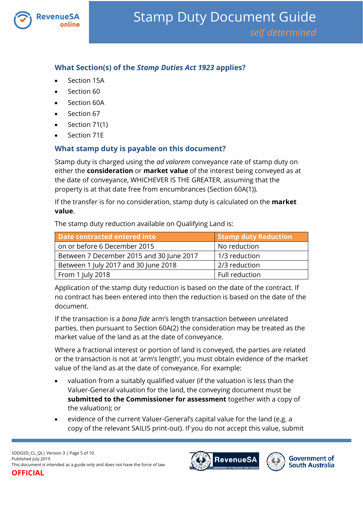

# **What Section(s) of the** *Stamp Duties Act 1923* **applies?**

- Section 15A
- Section 60
- Section 60A
- Section 67
- Section 71(1)
- Section 71E

# **What stamp duty is payable on this document?**

Stamp duty is charged using the *ad valorem* conveyance rate of stamp duty on either the **consideration** or **market value** of the interest being conveyed as at the date of conveyance, WHICHEVER IS THE GREATER, assuming that the property is at that date free from encumbrances (Section 60A(1)).

If the transfer is for no consideration, stamp duty is calculated on the **market value**.

The stamp duty reduction available on Qualifying Land is:

| Date contracted entered into             | Stamp duty Reduction |  |
|------------------------------------------|----------------------|--|
| on or before 6 December 2015             | No reduction         |  |
| Between 7 December 2015 and 30 June 2017 | 1/3 reduction        |  |
| Between 1 July 2017 and 30 June 2018     | 2/3 reduction        |  |
| From 1 July 2018                         | Full reduction       |  |

Application of the stamp duty reduction is based on the date of the contract. If no contract has been entered into then the reduction is based on the date of the document.

If the transaction is a *bona fide* arm's length transaction between unrelated parties, then pursuant to Section 60A(2) the consideration may be treated as the market value of the land as at the date of conveyance.

Where a fractional interest or portion of land is conveyed, the parties are related or the transaction is not at 'arm's length', you must obtain evidence of the market value of the land as at the date of conveyance. For example:

- valuation from a suitably qualified valuer (if the valuation is less than the Valuer-General valuation for the land, the conveying document must be **submitted to the Commissioner for assessment** together with a copy of the valuation); or
- evidence of the current Valuer-General's capital value for the land (e.g. a copy of the relevant SAILIS print-out). If you do not accept this value, submit

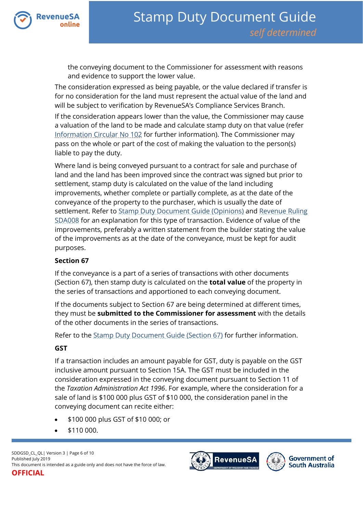

the conveying document to the Commissioner for assessment with reasons and evidence to support the lower value.

The consideration expressed as being payable, or the value declared if transfer is for no consideration for the land must represent the actual value of the land and will be subject to verification by RevenueSA's Compliance Services Branch.

If the consideration appears lower than the value, the Commissioner may cause a valuation of the land to be made and calculate stamp duty on that value (refer [Information Circular No 102](https://www.revenuesa.sa.gov.au/forms-and-publications/information-circulars-and-revenue-rulings/information-circulars/ic_102) for further information). The Commissioner may pass on the whole or part of the cost of making the valuation to the person(s) liable to pay the duty.

Where land is being conveyed pursuant to a contract for sale and purchase of land and the land has been improved since the contract was signed but prior to settlement, stamp duty is calculated on the value of the land including improvements, whether complete or partially complete, as at the date of the conveyance of the property to the purchaser, which is usually the date of settlement. Refer to [Stamp Duty Document Guide \(Opinions\)](https://www.revenuesa.sa.gov.au/stampduty/stamp-duty-document-guide#Opinions) and [Revenue Ruling](https://www.revenuesa.sa.gov.au/forms-and-publications/information-circulars-and-revenue-rulings/revenue-rulings/sda008)  [SDA008](https://www.revenuesa.sa.gov.au/forms-and-publications/information-circulars-and-revenue-rulings/revenue-rulings/sda008) for an explanation for this type of transaction. Evidence of value of the improvements, preferably a written statement from the builder stating the value of the improvements as at the date of the conveyance, must be kept for audit purposes.

## **Section 67**

If the conveyance is a part of a series of transactions with other documents (Section 67), then stamp duty is calculated on the **total value** of the property in the series of transactions and apportioned to each conveying document.

If the documents subject to Section 67 are being determined at different times, they must be **submitted to the Commissioner for assessment** with the details of the other documents in the series of transactions.

Refer to the [Stamp Duty Document Guide \(Section 67\)](https://www.revenuesa.sa.gov.au/stampduty/stamp-duty-document-guide/section67) for further information.

## **GST**

If a transaction includes an amount payable for GST, duty is payable on the GST inclusive amount pursuant to Section 15A. The GST must be included in the consideration expressed in the conveying document pursuant to Section 11 of the *Taxation Administration Act 1996*. For example, where the consideration for a sale of land is \$100 000 plus GST of \$10 000, the consideration panel in the conveying document can recite either:

- \$100 000 plus GST of \$10 000; or
- \$110 000.



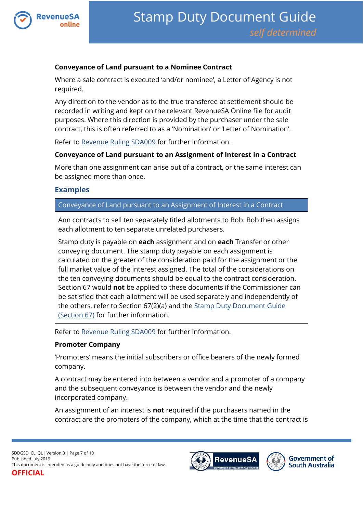

#### **Conveyance of Land pursuant to a Nominee Contract**

Where a sale contract is executed 'and/or nominee', a Letter of Agency is not required.

Any direction to the vendor as to the true transferee at settlement should be recorded in writing and kept on the relevant RevenueSA Online file for audit purposes. Where this direction is provided by the purchaser under the sale contract, this is often referred to as a 'Nomination' or 'Letter of Nomination'.

Refer to [Revenue Ruling SDA009](https://www.revenuesa.sa.gov.au/forms-and-publications/information-circulars-and-revenue-rulings/revenue-rulings/sda009) for further information.

#### **Conveyance of Land pursuant to an Assignment of Interest in a Contract**

More than one assignment can arise out of a contract, or the same interest can be assigned more than once.

## **Examples**

#### Conveyance of Land pursuant to an Assignment of Interest in a Contract

Ann contracts to sell ten separately titled allotments to Bob. Bob then assigns each allotment to ten separate unrelated purchasers.

Stamp duty is payable on **each** assignment and on **each** Transfer or other conveying document. The stamp duty payable on each assignment is calculated on the greater of the consideration paid for the assignment or the full market value of the interest assigned. The total of the considerations on the ten conveying documents should be equal to the contract consideration. Section 67 would **not** be applied to these documents if the Commissioner can be satisfied that each allotment will be used separately and independently of the others, refer to Section 67(2)(a) and the [Stamp Duty Document Guide](https://www.revenuesa.sa.gov.au/stampduty/stamp-duty-document-guide/section67)  [\(Section 67\)](https://www.revenuesa.sa.gov.au/stampduty/stamp-duty-document-guide/section67) for further information.

Refer to [Revenue Ruling SDA009](https://www.revenuesa.sa.gov.au/forms-and-publications/information-circulars-and-revenue-rulings/revenue-rulings/sda009) for further information.

#### **Promoter Company**

'Promoters' means the initial subscribers or office bearers of the newly formed company.

A contract may be entered into between a vendor and a promoter of a company and the subsequent conveyance is between the vendor and the newly incorporated company.

An assignment of an interest is **not** required if the purchasers named in the contract are the promoters of the company, which at the time that the contract is

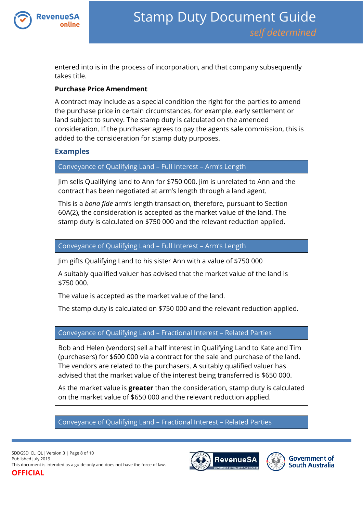

entered into is in the process of incorporation, and that company subsequently takes title.

#### **Purchase Price Amendment**

A contract may include as a special condition the right for the parties to amend the purchase price in certain circumstances, for example, early settlement or land subject to survey. The stamp duty is calculated on the amended consideration. If the purchaser agrees to pay the agents sale commission, this is added to the consideration for stamp duty purposes.

### **Examples**

Conveyance of Qualifying Land – Full Interest – Arm's Length

Jim sells Qualifying land to Ann for \$750 000. Jim is unrelated to Ann and the contract has been negotiated at arm's length through a land agent.

This is a *bona fide* arm's length transaction, therefore, pursuant to Section 60A(2), the consideration is accepted as the market value of the land. The stamp duty is calculated on \$750 000 and the relevant reduction applied.

### Conveyance of Qualifying Land – Full Interest – Arm's Length

Jim gifts Qualifying Land to his sister Ann with a value of \$750 000

A suitably qualified valuer has advised that the market value of the land is \$750 000.

The value is accepted as the market value of the land.

The stamp duty is calculated on \$750 000 and the relevant reduction applied.

## Conveyance of Qualifying Land – Fractional Interest – Related Parties

Bob and Helen (vendors) sell a half interest in Qualifying Land to Kate and Tim (purchasers) for \$600 000 via a contract for the sale and purchase of the land. The vendors are related to the purchasers. A suitably qualified valuer has advised that the market value of the interest being transferred is \$650 000.

As the market value is **greater** than the consideration, stamp duty is calculated on the market value of \$650 000 and the relevant reduction applied.

Conveyance of Qualifying Land – Fractional Interest – Related Parties



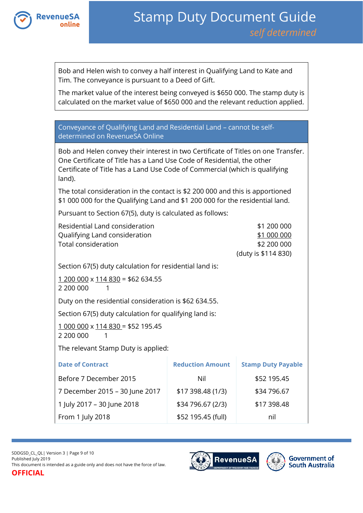

Bob and Helen wish to convey a half interest in Qualifying Land to Kate and Tim. The conveyance is pursuant to a Deed of Gift.

The market value of the interest being conveyed is \$650 000. The stamp duty is calculated on the market value of \$650 000 and the relevant reduction applied.

Conveyance of Qualifying Land and Residential Land – cannot be selfdetermined on RevenueSA Online

Bob and Helen convey their interest in two Certificate of Titles on one Transfer. One Certificate of Title has a Land Use Code of Residential, the other Certificate of Title has a Land Use Code of Commercial (which is qualifying land).

The total consideration in the contact is \$2 200 000 and this is apportioned \$1 000 000 for the Qualifying Land and \$1 200 000 for the residential land.

Pursuant to Section 67(5), duty is calculated as follows:

| Residential Land consideration<br>Qualifying Land consideration<br>Total consideration |                         | \$1 200 000<br>\$1 000 000<br>\$2 200 000<br>(duty is \$114 830) |
|----------------------------------------------------------------------------------------|-------------------------|------------------------------------------------------------------|
| Section 67(5) duty calculation for residential land is:                                |                         |                                                                  |
| $1200000 \times 114830 = $62634.55$<br>2 200 000<br>1                                  |                         |                                                                  |
| Duty on the residential consideration is \$62 634.55.                                  |                         |                                                                  |
| Section 67(5) duty calculation for qualifying land is:                                 |                         |                                                                  |
| $1000000 \times 114830 = $52195.45$<br>2 200 000                                       |                         |                                                                  |
| The relevant Stamp Duty is applied:                                                    |                         |                                                                  |
| <b>Date of Contract</b>                                                                | <b>Reduction Amount</b> | <b>Stamp Duty Payable</b>                                        |
| Before 7 December 2015                                                                 | Nil                     | \$52 195.45                                                      |
| 7 December 2015 - 30 June 2017                                                         | \$17 398.48 (1/3)       | \$34 796.67                                                      |
| 1 July 2017 - 30 June 2018                                                             | \$34 796.67 (2/3)       | \$17 398.48                                                      |
| From 1 July 2018                                                                       | \$52 195.45 (full)      | nil                                                              |

SDDGSD\_CL\_QL| Version 3 | Page 9 of 10 Published July 2019 This document is intended as a guide only and does not have the force of law.

**OFFICIAL**